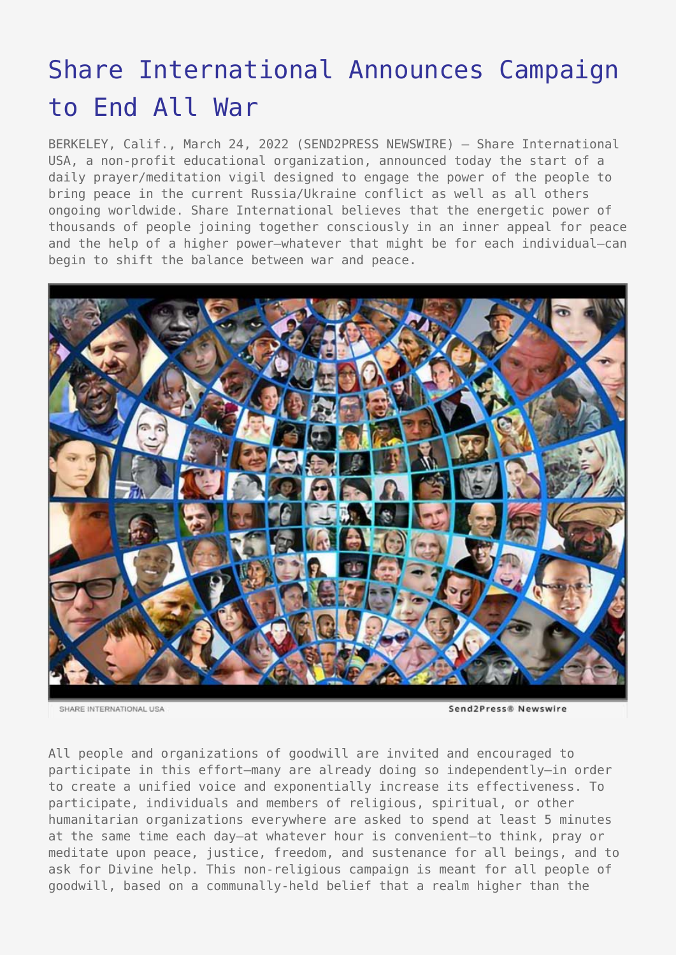## [Share International Announces Campaign](https://www.send2press.com/wire/share-international-announces-campaign-to-end-all-war/) [to End All War](https://www.send2press.com/wire/share-international-announces-campaign-to-end-all-war/)

BERKELEY, Calif., March 24, 2022 (SEND2PRESS NEWSWIRE) — Share International USA, a non-profit educational organization, announced today the start of a daily prayer/meditation vigil designed to engage the power of the people to bring peace in the current Russia/Ukraine conflict as well as all others ongoing worldwide. Share International believes that the energetic power of thousands of people joining together consciously in an inner appeal for peace and the help of a higher power—whatever that might be for each individual—can begin to shift the balance between war and peace.



SHARE INTERNATIONAL USA

Send2Press® Newswire

All people and organizations of goodwill are invited and encouraged to participate in this effort—many are already doing so independently—in order to create a unified voice and exponentially increase its effectiveness. To participate, individuals and members of religious, spiritual, or other humanitarian organizations everywhere are asked to spend at least 5 minutes at the same time each day—at whatever hour is convenient—to think, pray or meditate upon peace, justice, freedom, and sustenance for all beings, and to ask for Divine help. This non-religious campaign is meant for all people of goodwill, based on a communally-held belief that a realm higher than the